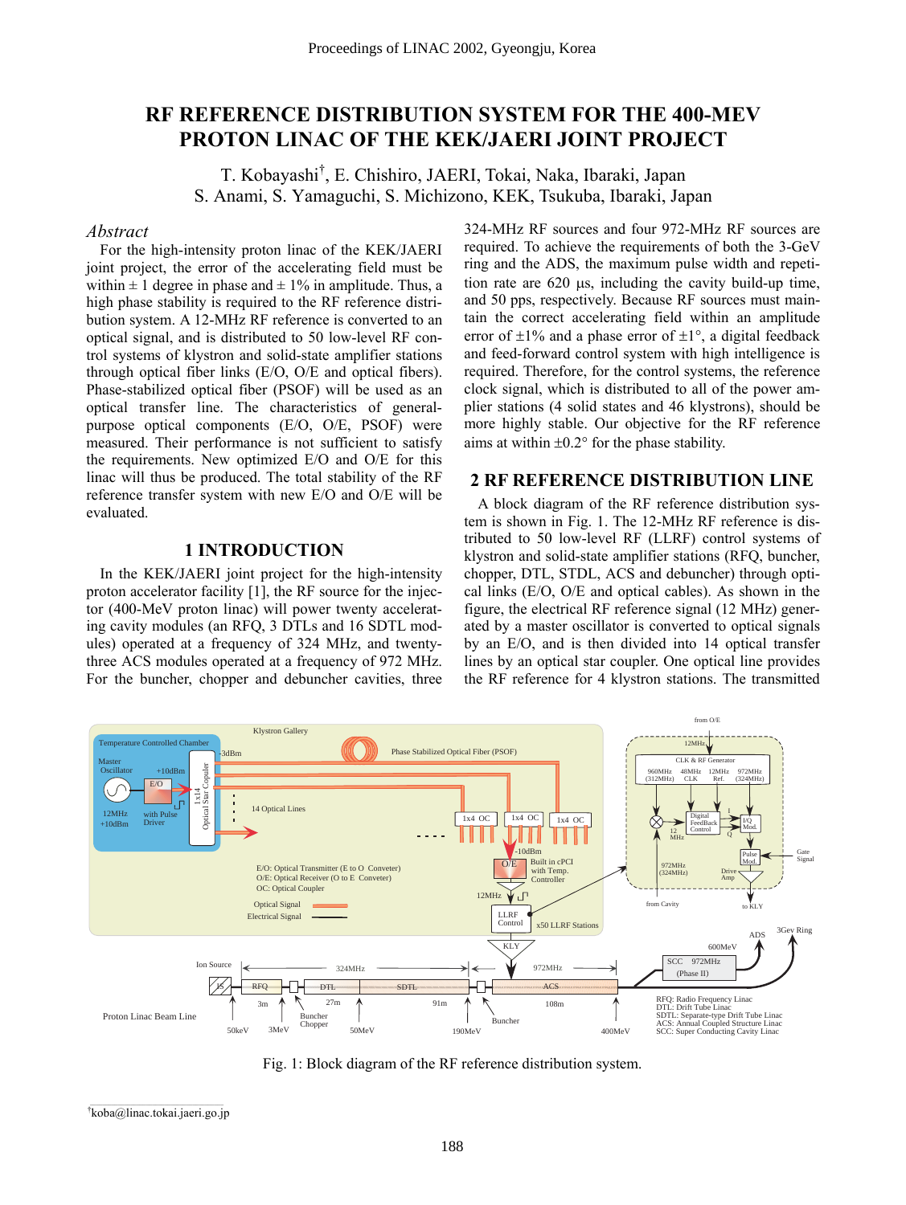# **RF REFERENCE DISTRIBUTION SYSTEM FOR THE 400-MEV PROTON LINAC OF THE KEK/JAERI JOINT PROJECT**

T. Kobayashi<sup>†</sup>, E. Chishiro, JAERI, Tokai, Naka, Ibaraki, Japan S. Anami, S. Yamaguchi, S. Michizono, KEK, Tsukuba, Ibaraki, Japan

#### *Abstract*

For the high-intensity proton linac of the KEK/JAERI joint project, the error of the accelerating field must be within  $\pm$  1 degree in phase and  $\pm$  1% in amplitude. Thus, a high phase stability is required to the RF reference distribution system. A 12-MHz RF reference is converted to an optical signal, and is distributed to 50 low-level RF control systems of klystron and solid-state amplifier stations through optical fiber links (E/O, O/E and optical fibers). Phase-stabilized optical fiber (PSOF) will be used as an optical transfer line. The characteristics of generalpurpose optical components (E/O, O/E, PSOF) were measured. Their performance is not sufficient to satisfy the requirements. New optimized E/O and O/E for this linac will thus be produced. The total stability of the RF reference transfer system with new E/O and O/E will be evaluated.

## **1 INTRODUCTION**

In the KEK/JAERI joint project for the high-intensity proton accelerator facility [1], the RF source for the injector (400-MeV proton linac) will power twenty accelerating cavity modules (an RFQ, 3 DTLs and 16 SDTL modules) operated at a frequency of 324 MHz, and twentythree ACS modules operated at a frequency of 972 MHz. For the buncher, chopper and debuncher cavities, three

324-MHz RF sources and four 972-MHz RF sources are required. To achieve the requirements of both the 3-GeV ring and the ADS, the maximum pulse width and repetition rate are 620 µs, including the cavity build-up time, and 50 pps, respectively. Because RF sources must maintain the correct accelerating field within an amplitude error of  $\pm 1\%$  and a phase error of  $\pm 1\degree$ , a digital feedback and feed-forward control system with high intelligence is required. Therefore, for the control systems, the reference clock signal, which is distributed to all of the power amplier stations (4 solid states and 46 klystrons), should be more highly stable. Our objective for the RF reference aims at within  $\pm 0.2^{\circ}$  for the phase stability.

## **2 RF REFERENCE DISTRIBUTION LINE**

A block diagram of the RF reference distribution system is shown in Fig. 1. The 12-MHz RF reference is distributed to 50 low-level RF (LLRF) control systems of klystron and solid-state amplifier stations (RFQ, buncher, chopper, DTL, STDL, ACS and debuncher) through optical links (E/O, O/E and optical cables). As shown in the figure, the electrical RF reference signal (12 MHz) generated by a master oscillator is converted to optical signals by an E/O, and is then divided into 14 optical transfer lines by an optical star coupler. One optical line provides the RF reference for 4 klystron stations. The transmitted



Fig. 1: Block diagram of the RF reference distribution system.

Ü koba@linac.tokai.jaeri.go.jp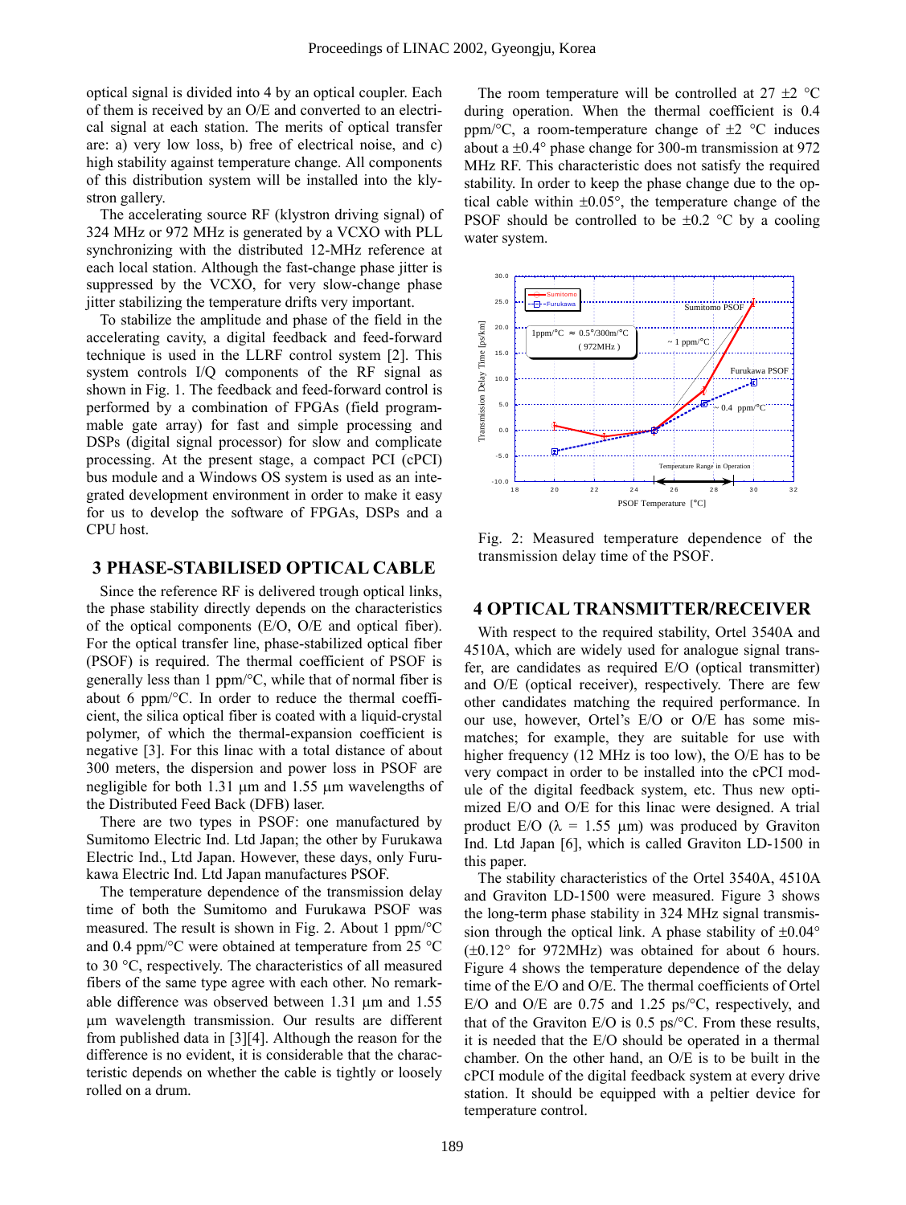optical signal is divided into 4 by an optical coupler. Each of them is received by an O/E and converted to an electrical signal at each station. The merits of optical transfer are: a) very low loss, b) free of electrical noise, and c) high stability against temperature change. All components of this distribution system will be installed into the klystron gallery.

The accelerating source RF (klystron driving signal) of 324 MHz or 972 MHz is generated by a VCXO with PLL synchronizing with the distributed 12-MHz reference at each local station. Although the fast-change phase jitter is suppressed by the VCXO, for very slow-change phase jitter stabilizing the temperature drifts very important.

To stabilize the amplitude and phase of the field in the accelerating cavity, a digital feedback and feed-forward technique is used in the LLRF control system [2]. This system controls I/Q components of the RF signal as shown in Fig. 1. The feedback and feed-forward control is performed by a combination of FPGAs (field programmable gate array) for fast and simple processing and DSPs (digital signal processor) for slow and complicate processing. At the present stage, a compact PCI (cPCI) bus module and a Windows OS system is used as an integrated development environment in order to make it easy for us to develop the software of FPGAs, DSPs and a CPU host.

## **3 PHASE-STABILISED OPTICAL CABLE**

Since the reference RF is delivered trough optical links, the phase stability directly depends on the characteristics of the optical components (E/O, O/E and optical fiber). For the optical transfer line, phase-stabilized optical fiber (PSOF) is required. The thermal coefficient of PSOF is generally less than 1 ppm/°C, while that of normal fiber is about 6 ppm/°C. In order to reduce the thermal coefficient, the silica optical fiber is coated with a liquid-crystal polymer, of which the thermal-expansion coefficient is negative [3]. For this linac with a total distance of about 300 meters, the dispersion and power loss in PSOF are negligible for both 1.31 µm and 1.55 µm wavelengths of the Distributed Feed Back (DFB) laser.

There are two types in PSOF: one manufactured by Sumitomo Electric Ind. Ltd Japan; the other by Furukawa Electric Ind., Ltd Japan. However, these days, only Furukawa Electric Ind. Ltd Japan manufactures PSOF.

The temperature dependence of the transmission delay time of both the Sumitomo and Furukawa PSOF was measured. The result is shown in Fig. 2. About 1 ppm/°C and 0.4 ppm/°C were obtained at temperature from 25 °C to 30 °C, respectively. The characteristics of all measured fibers of the same type agree with each other. No remarkable difference was observed between 1.31 µm and 1.55 µm wavelength transmission. Our results are different from published data in [3][4]. Although the reason for the difference is no evident, it is considerable that the characteristic depends on whether the cable is tightly or loosely rolled on a drum.

The room temperature will be controlled at  $27 \pm 2$  °C during operation. When the thermal coefficient is 0.4 ppm/ ${}^{\circ}C$ , a room-temperature change of  $\pm 2$   ${}^{\circ}C$  induces about a  $\pm 0.4^{\circ}$  phase change for 300-m transmission at 972 MHz RF. This characteristic does not satisfy the required stability. In order to keep the phase change due to the optical cable within  $\pm 0.05^{\circ}$ , the temperature change of the PSOF should be controlled to be  $\pm 0.2$  °C by a cooling water system.



Fig. 2: Measured temperature dependence of the transmission delay time of the PSOF.

## **4 OPTICAL TRANSMITTER/RECEIVER**

With respect to the required stability, Ortel 3540A and 4510A, which are widely used for analogue signal transfer, are candidates as required E/O (optical transmitter) and O/E (optical receiver), respectively. There are few other candidates matching the required performance. In our use, however, Ortel's E/O or O/E has some mismatches; for example, they are suitable for use with higher frequency (12 MHz is too low), the O/E has to be very compact in order to be installed into the cPCI module of the digital feedback system, etc. Thus new optimized E/O and O/E for this linac were designed. A trial product E/O ( $\lambda = 1.55$  µm) was produced by Graviton Ind. Ltd Japan [6], which is called Graviton LD-1500 in this paper.

The stability characteristics of the Ortel 3540A, 4510A and Graviton LD-1500 were measured. Figure 3 shows the long-term phase stability in 324 MHz signal transmission through the optical link. A phase stability of  $\pm 0.04^{\circ}$  $(\pm 0.12^{\circ}$  for 972MHz) was obtained for about 6 hours. Figure 4 shows the temperature dependence of the delay time of the E/O and O/E. The thermal coefficients of Ortel E/O and O/E are 0.75 and 1.25 ps/°C, respectively, and that of the Graviton E/O is  $0.5 \text{ ps} / \text{°C}$ . From these results, it is needed that the E/O should be operated in a thermal chamber. On the other hand, an O/E is to be built in the cPCI module of the digital feedback system at every drive station. It should be equipped with a peltier device for temperature control.